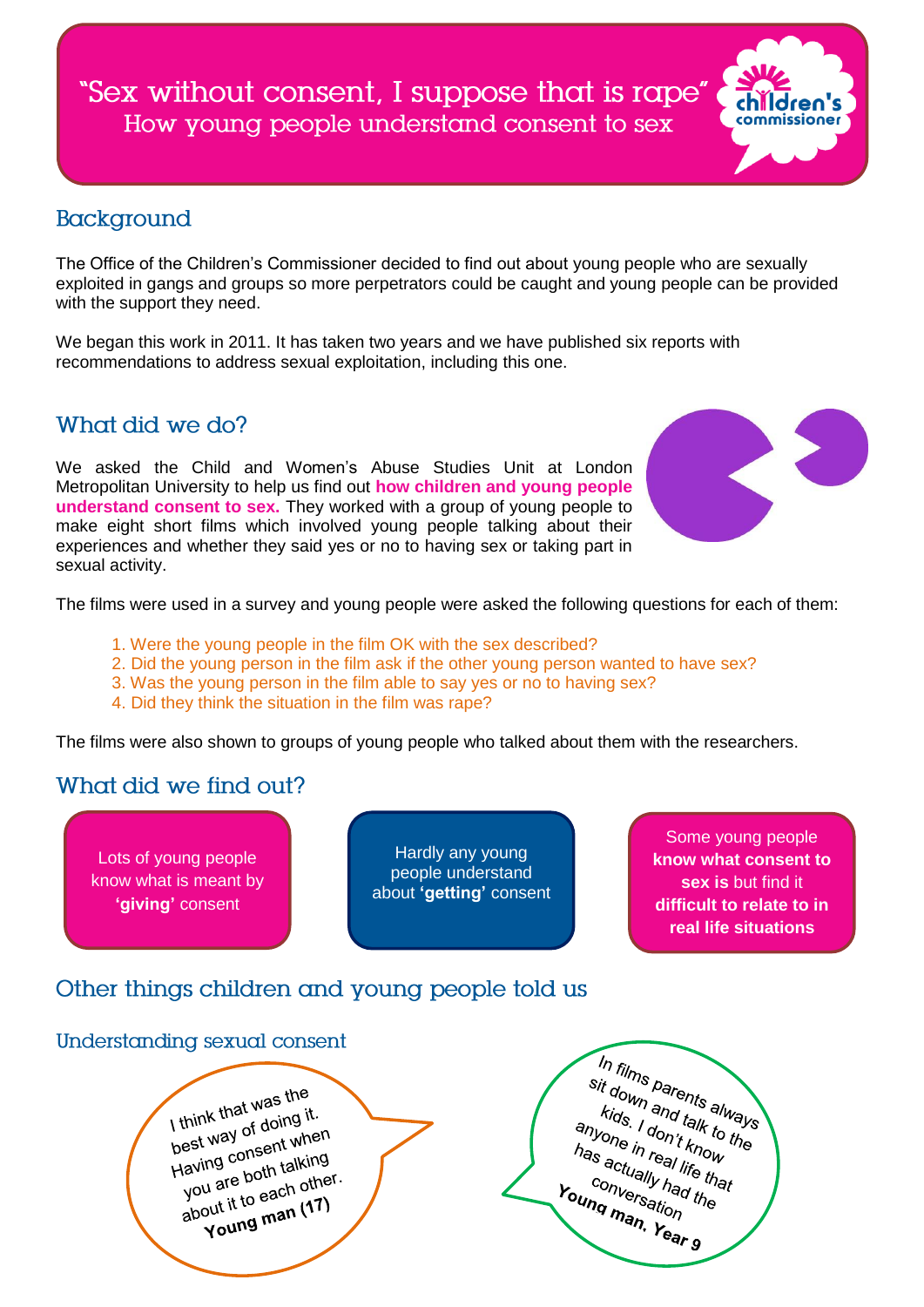"Sex without consent, I suppose that is rape" How young people understand consent to sex



## Background

The Office of the Children's Commissioner decided to find out about young people who are sexually exploited in gangs and groups so more perpetrators could be caught and young people can be provided with the support they need.

We began this work in 2011. It has taken two years and we have published six reports with recommendations to address sexual exploitation, including this one.

## What did we do?

We asked the Child and Women's Abuse Studies Unit at London Metropolitan University to help us find out **how children and young people understand consent to sex.** They worked with a group of young people to make eight short films which involved young people talking about their experiences and whether they said yes or no to having sex or taking part in sexual activity.



The films were used in a survey and young people were asked the following questions for each of them:

- 1. Were the young people in the film OK with the sex described?
- 2. Did the young person in the film ask if the other young person wanted to have sex?
- 3. Was the young person in the film able to say yes or no to having sex?
- 4. Did they think the situation in the film was rape?

The films were also shown to groups of young people who talked about them with the researchers.

### What did we find out?

Lots of young people know what is meant by **'giving'** consent

Hardly any young people understand about **'getting'** consent

Some young people **know what consent to sex is** but find it **difficult to relate to in real life situations**

## Other things children and young people told us

#### Understanding sexual consent

I think that was the I think that was up<br>best way of doing it.<br>best yay consent wine I think the of doing the<br>best way of doing then<br>Having consent when<br>Having the both the definition est way<br>Having consent talking<br>you are both talking<br>you are both die Having compare both talking<br>you are both talking<br>about it to each other. out it to each of 17)<br>Young man (17)